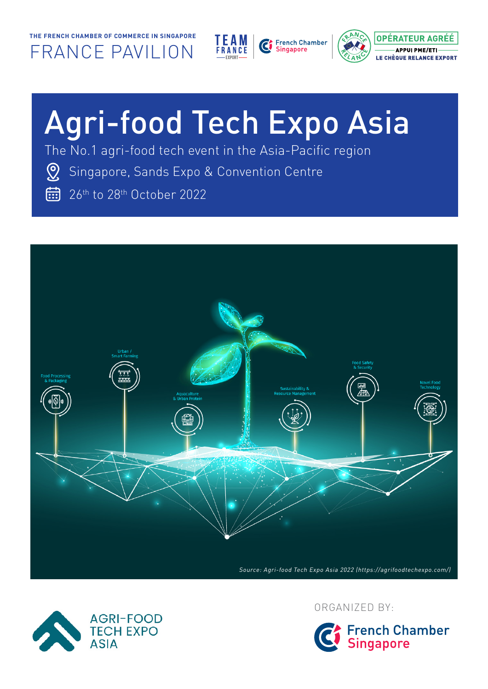



# Agri-food Tech Expo Asia

The No.1 agri-food tech event in the Asia-Pacific region

- Singapore, Sands Expo & Convention Centre
- 26<sup>th</sup> to 28<sup>th</sup> October 2022





ORGANIZED BY:

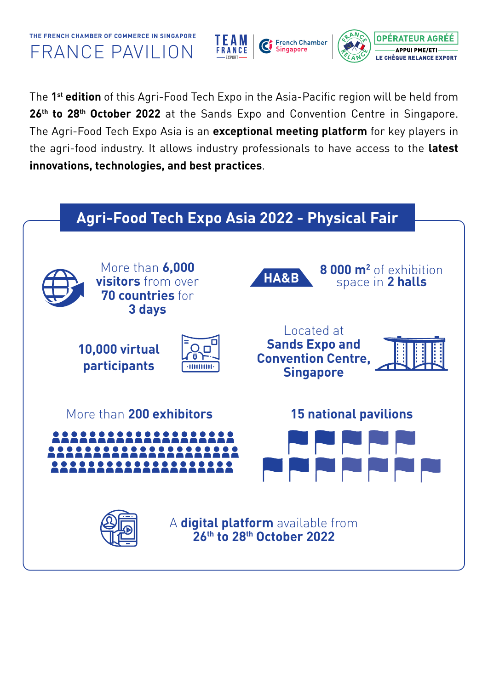



The **1st edition** of this Agri-Food Tech Expo in the Asia-Pacific region will be held from 26<sup>th</sup> to 28<sup>th</sup> October 2022 at the Sands Expo and Convention Centre in Singapore. The Agri-Food Tech Expo Asia is an **exceptional meeting platform** for key players in the agri-food industry. It allows industry professionals to have access to the **latest innovations, technologies, and best practices**.

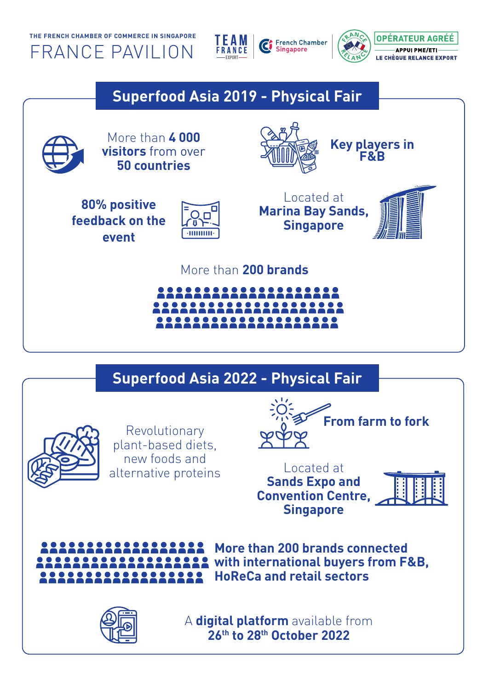



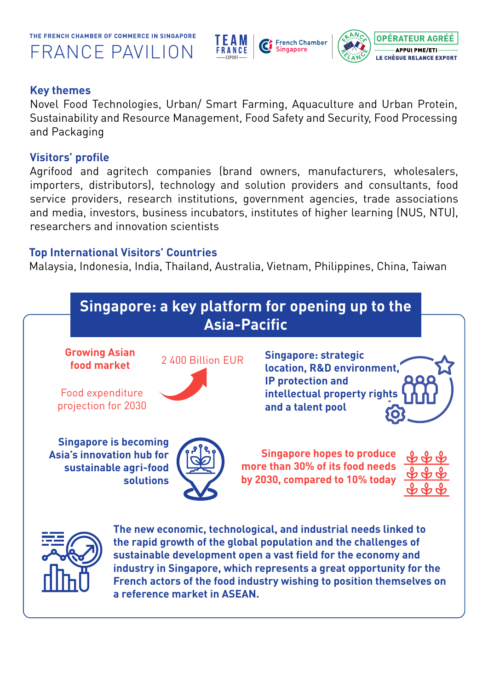



#### **Key themes**

Novel Food Technologies, Urban/ Smart Farming, Aquaculture and Urban Protein, Sustainability and Resource Management, Food Safety and Security, Food Processing and Packaging

## **Visitors' profile**

Agrifood and agritech companies (brand owners, manufacturers, wholesalers, importers, distributors), technology and solution providers and consultants, food service providers, research institutions, government agencies, trade associations and media, investors, business incubators, institutes of higher learning (NUS, NTU), researchers and innovation scientists

## **Top International Visitors' Countries**

Malaysia, Indonesia, India, Thailand, Australia, Vietnam, Philippines, China, Taiwan

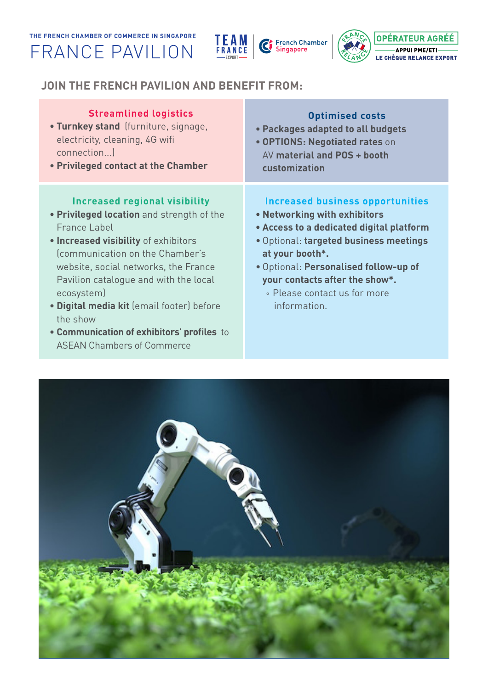



## **JOIN THE FRENCH PAVILION AND BENEFIT FROM:**

| <b>Streamlined logistics</b>                                                                                                                                                                                                                                                                                                                                                                                                   | <b>Optimised costs</b>                                                                                                                                                                                                                                                                                      |
|--------------------------------------------------------------------------------------------------------------------------------------------------------------------------------------------------------------------------------------------------------------------------------------------------------------------------------------------------------------------------------------------------------------------------------|-------------------------------------------------------------------------------------------------------------------------------------------------------------------------------------------------------------------------------------------------------------------------------------------------------------|
| • Turnkey stand (furniture, signage,                                                                                                                                                                                                                                                                                                                                                                                           | • Packages adapted to all budgets                                                                                                                                                                                                                                                                           |
| electricity, cleaning, 4G wifi                                                                                                                                                                                                                                                                                                                                                                                                 | • OPTIONS: Negotiated rates on                                                                                                                                                                                                                                                                              |
| connection)                                                                                                                                                                                                                                                                                                                                                                                                                    | AV material and POS + booth                                                                                                                                                                                                                                                                                 |
| • Privileged contact at the Chamber                                                                                                                                                                                                                                                                                                                                                                                            | customization                                                                                                                                                                                                                                                                                               |
| <b>Increased regional visibility</b><br>• Privileged location and strength of the<br><b>France Label</b><br>. Increased visibility of exhibitors<br>(communication on the Chamber's<br>website, social networks, the France<br>Pavilion catalogue and with the local<br>ecosystem)<br>· Digital media kit (email footer) before<br>the show<br>• Communication of exhibitors' profiles to<br><b>ASEAN Chambers of Commerce</b> | <b>Increased business opportunities</b><br>. Networking with exhibitors<br>• Access to a dedicated digital platform<br>· Optional: targeted business meetings<br>at your booth*.<br>· Optional: Personalised follow-up of<br>your contacts after the show*.<br>• Please contact us for more<br>information. |